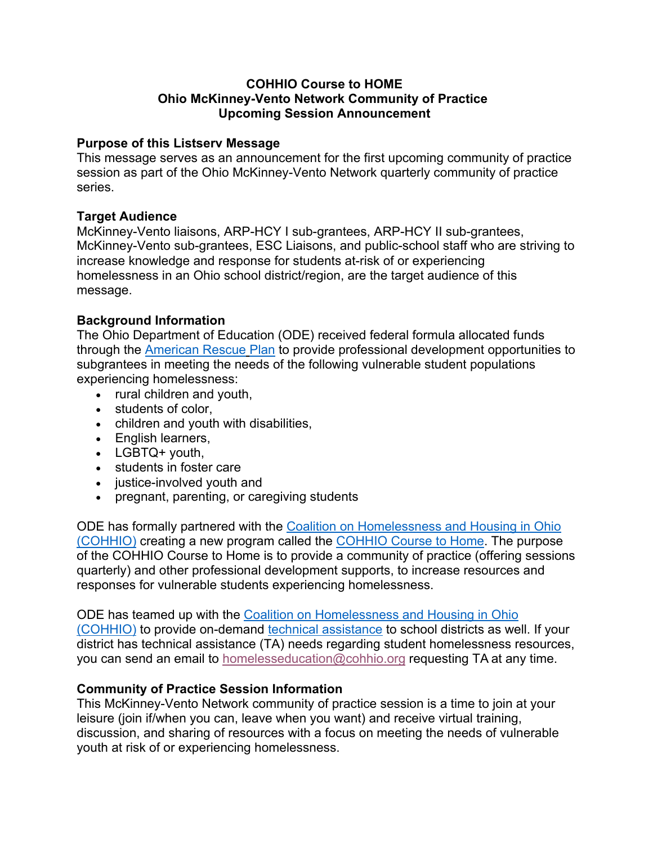## **COHHIO Course to HOME Ohio McKinney-Vento Network Community of Practice Upcoming Session Announcement**

# **Purpose of this Listserv Message**

This message serves as an announcement for the first upcoming community of practice session as part of the Ohio McKinney-Vento Network quarterly community of practice series.

# **Target Audience**

McKinney-Vento liaisons, ARP-HCY I sub-grantees, ARP-HCY II sub-grantees, McKinney-Vento sub-grantees, ESC Liaisons, and public-school staff who are striving to increase knowledge and response for students at-risk of or experiencing homelessness in an Ohio school district/region, are the target audience of this message.

# **Background Information**

The Ohio Department of Education (ODE) received federal formula allocated funds through the American Rescue Plan to provide professional development opportunities to subgrantees in meeting the needs of the following vulnerable student populations experiencing homelessness:

- rural children and youth,
- students of color,
- children and youth with disabilities,
- English learners,
- LGBTQ+ youth,
- students in foster care
- iustice-involved youth and
- pregnant, parenting, or caregiving students

ODE has formally partnered with the Coalition on Homelessness and Housing in Ohio (COHHIO) creating a new program called the COHHIO Course to Home. The purpose of the COHHIO Course to Home is to provide a community of practice (offering sessions quarterly) and other professional development supports, to increase resources and responses for vulnerable students experiencing homelessness.

ODE has teamed up with the Coalition on Homelessness and Housing in Ohio (COHHIO) to provide on-demand technical assistance to school districts as well. If your district has technical assistance (TA) needs regarding student homelessness resources, you can send an email to homelesseducation@cohhio.org requesting TA at any time.

## **Community of Practice Session Information**

This McKinney-Vento Network community of practice session is a time to join at your leisure (join if/when you can, leave when you want) and receive virtual training, discussion, and sharing of resources with a focus on meeting the needs of vulnerable youth at risk of or experiencing homelessness.